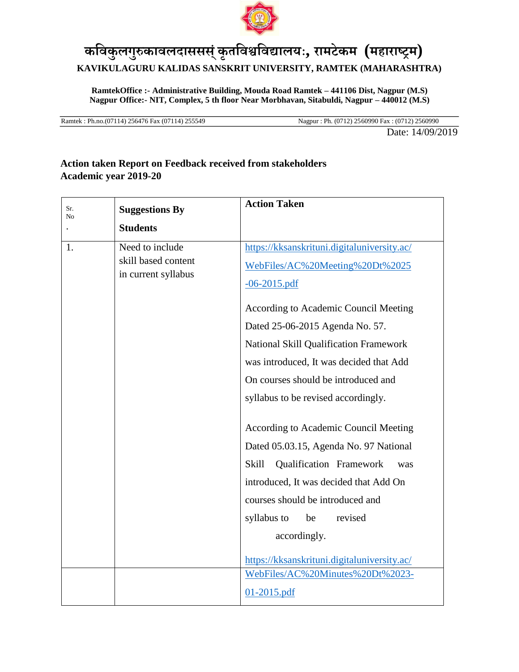

## **कविक ु लग ु रुकािलदाससस्ं कृतविश्वविद्यालयः, रामटेकम (महाराष्ट्रम) KAVIKULAGURU KALIDAS SANSKRIT UNIVERSITY, RAMTEK (MAHARASHTRA)**

**RamtekOffice :- Administrative Building, Mouda Road Ramtek – 441106 Dist, Nagpur (M.S) Nagpur Office:- NIT, Complex, 5 th floor Near Morbhavan, Sitabuldi, Nagpur – 440012 (M.S)**

Ramtek : Ph.no.(07114) 256476 Fax (07114) 255549 Nagpur : Ph. (0712) 2560990 Fax : (0712) 2560990

Date: 14/09/2019

## **Action taken Report on Feedback received from stakeholders Academic year 2019-20**

| Sr.<br>No | <b>Suggestions By</b>                                         | <b>Action Taken</b>                                                                                                                                                                                                                                                                                                                                                                                                                                                                                                                                                                                                                                                                                      |
|-----------|---------------------------------------------------------------|----------------------------------------------------------------------------------------------------------------------------------------------------------------------------------------------------------------------------------------------------------------------------------------------------------------------------------------------------------------------------------------------------------------------------------------------------------------------------------------------------------------------------------------------------------------------------------------------------------------------------------------------------------------------------------------------------------|
|           | <b>Students</b>                                               |                                                                                                                                                                                                                                                                                                                                                                                                                                                                                                                                                                                                                                                                                                          |
| 1.        | Need to include<br>skill based content<br>in current syllabus | https://kksanskrituni.digitaluniversity.ac/<br>WebFiles/AC%20Meeting%20Dt%2025<br>$-06 - 2015$ .pdf<br>According to Academic Council Meeting<br>Dated 25-06-2015 Agenda No. 57.<br><b>National Skill Qualification Framework</b><br>was introduced, It was decided that Add<br>On courses should be introduced and<br>syllabus to be revised accordingly.<br>According to Academic Council Meeting<br>Dated 05.03.15, Agenda No. 97 National<br>Skill<br>Qualification Framework<br>was<br>introduced, It was decided that Add On<br>courses should be introduced and<br>revised<br>syllabus to<br>be<br>accordingly.<br>https://kksanskrituni.digitaluniversity.ac/<br>WebFiles/AC%20Minutes%20Dt%2023- |
|           |                                                               | $01 - 2015$ .pdf                                                                                                                                                                                                                                                                                                                                                                                                                                                                                                                                                                                                                                                                                         |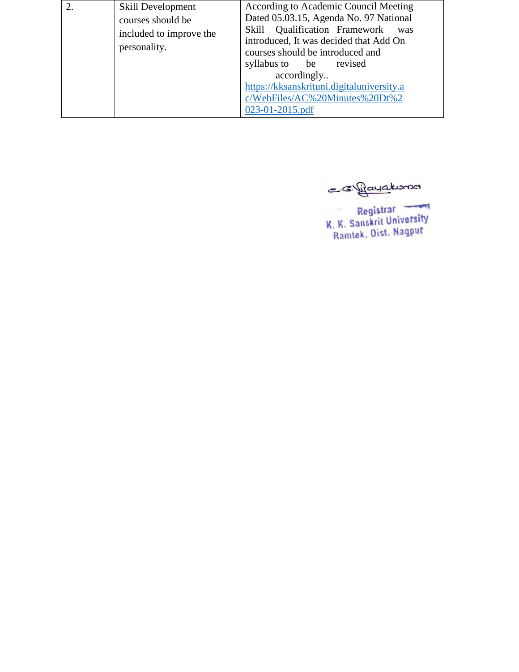| 2. | Skill Development       | According to Academic Council Meeting                                          |
|----|-------------------------|--------------------------------------------------------------------------------|
|    | courses should be       | Dated 05.03.15, Agenda No. 97 National                                         |
|    | included to improve the | Skill Qualification Framework<br>was<br>introduced, It was decided that Add On |
|    | personality.            | courses should be introduced and                                               |
|    |                         | syllabus to be revised                                                         |
|    |                         | accordingly                                                                    |
|    |                         | https://kksanskrituni.digitaluniversity.a                                      |
|    |                         | c/WebFiles/AC%20Minutes%20Dt%2                                                 |
|    |                         | 023-01-2015.pdf                                                                |

e svíjayakona

Registrar<br>K. K. Sanskrit University<br>Ramtek, Dist. Nagpur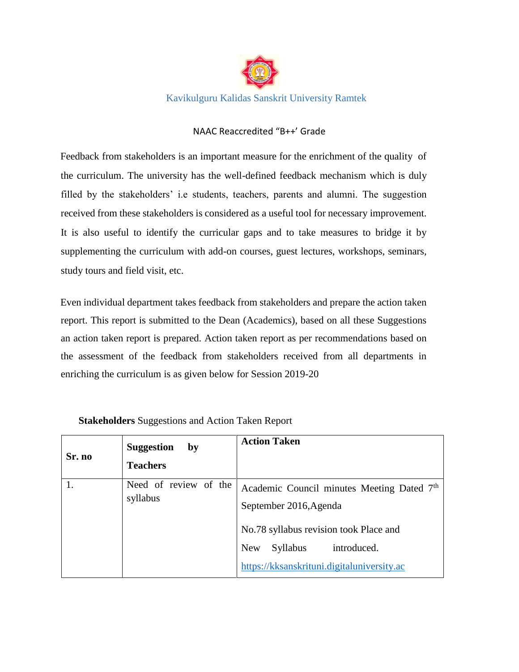

Kavikulguru Kalidas Sanskrit University Ramtek

## NAAC Reaccredited "B++' Grade

Feedback from stakeholders is an important measure for the enrichment of the quality of the curriculum. The university has the well-defined feedback mechanism which is duly filled by the stakeholders' i.e students, teachers, parents and alumni. The suggestion received from these stakeholders is considered as a useful tool for necessary improvement. It is also useful to identify the curricular gaps and to take measures to bridge it by supplementing the curriculum with add-on courses, guest lectures, workshops, seminars, study tours and field visit, etc.

Even individual department takes feedback from stakeholders and prepare the action taken report. This report is submitted to the Dean (Academics), based on all these Suggestions an action taken report is prepared. Action taken report as per recommendations based on the assessment of the feedback from stakeholders received from all departments in enriching the curriculum is as given below for Session 2019-20

| Sr. no | <b>Suggestion</b><br>by<br><b>Teachers</b> | <b>Action Taken</b>                                                                                                                                                                                          |
|--------|--------------------------------------------|--------------------------------------------------------------------------------------------------------------------------------------------------------------------------------------------------------------|
|        | Need of review of the<br>syllabus          | Academic Council minutes Meeting Dated 7th<br>September 2016, Agenda<br>No.78 syllabus revision took Place and<br><b>New</b><br>introduced.<br><b>Syllabus</b><br>https://kksanskrituni.digitaluniversity.ac |

**Stakeholders** Suggestions and Action Taken Report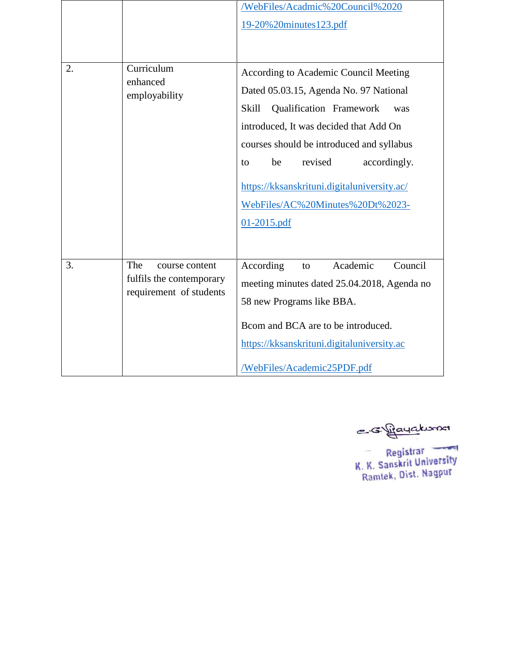|    |                                                     | /WebFiles/Acadmic%20Council%2020<br>19-20%20minutes123.pdf |
|----|-----------------------------------------------------|------------------------------------------------------------|
|    |                                                     |                                                            |
| 2. | Curriculum<br>enhanced                              | According to Academic Council Meeting                      |
|    | employability                                       | Dated 05.03.15, Agenda No. 97 National                     |
|    |                                                     | <b>Skill</b><br>Qualification Framework<br>was             |
|    |                                                     | introduced, It was decided that Add On                     |
|    |                                                     | courses should be introduced and syllabus                  |
|    |                                                     | revised<br>be<br>accordingly.<br>to                        |
|    |                                                     | https://kksanskrituni.digitaluniversity.ac/                |
|    |                                                     | WebFiles/AC%20Minutes%20Dt%2023-                           |
|    |                                                     | $01 - 2015$ .pdf                                           |
|    |                                                     |                                                            |
| 3. | The<br>course content                               | Academic<br>Council<br>According<br>to                     |
|    | fulfils the contemporary<br>requirement of students | meeting minutes dated 25.04.2018, Agenda no                |
|    |                                                     | 58 new Programs like BBA.                                  |
|    |                                                     | Bcom and BCA are to be introduced.                         |
|    |                                                     | https://kksanskrituni.digitaluniversity.ac                 |
|    |                                                     | /WebFiles/Academic25PDF.pdf                                |

e sigayakona

Registrar<br>K. K. Sanskrit University<br>Ramtek, Dist. Nagpur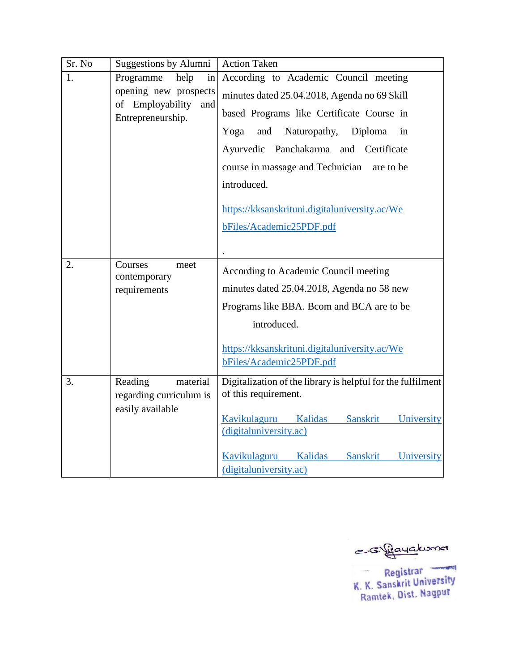| Sr. No | Suggestions by Alumni                          | <b>Action Taken</b>                                                                 |
|--------|------------------------------------------------|-------------------------------------------------------------------------------------|
| 1.     | help<br>Programme<br>in                        | According to Academic Council meeting                                               |
|        | opening new prospects                          | minutes dated 25.04.2018, Agenda no 69 Skill                                        |
|        | of Employability and<br>Entrepreneurship.      | based Programs like Certificate Course in                                           |
|        |                                                | Yoga<br>and Naturopathy,<br>Diploma<br>in                                           |
|        |                                                | Ayurvedic Panchakarma and Certificate                                               |
|        |                                                | course in massage and Technician are to be                                          |
|        |                                                | introduced.                                                                         |
|        |                                                | https://kksanskrituni.digitaluniversity.ac/We                                       |
|        |                                                | bFiles/Academic25PDF.pdf                                                            |
|        |                                                |                                                                                     |
| 2.     | Courses<br>meet                                |                                                                                     |
|        | contemporary                                   | According to Academic Council meeting                                               |
|        | requirements                                   | minutes dated 25.04.2018, Agenda no 58 new                                          |
|        |                                                | Programs like BBA. Boom and BCA are to be                                           |
|        |                                                | introduced.                                                                         |
|        |                                                | https://kksanskrituni.digitaluniversity.ac/We                                       |
|        |                                                | bFiles/Academic25PDF.pdf                                                            |
| 3.     | Reading<br>material<br>regarding curriculum is | Digitalization of the library is helpful for the fulfilment<br>of this requirement. |
|        | easily available                               |                                                                                     |
|        |                                                | Kalidas<br>Sanskrit University<br>Kavikulaguru<br>(digitaluniversity.ac)            |
|        |                                                |                                                                                     |
|        |                                                | Kavikulaguru Kalidas Sanskrit University                                            |
|        |                                                | (digitaluniversity.ac)                                                              |

e svijayakoma

Registrar<br>K. K. Sanskrit University<br>Ramtek, Dist. Nagpur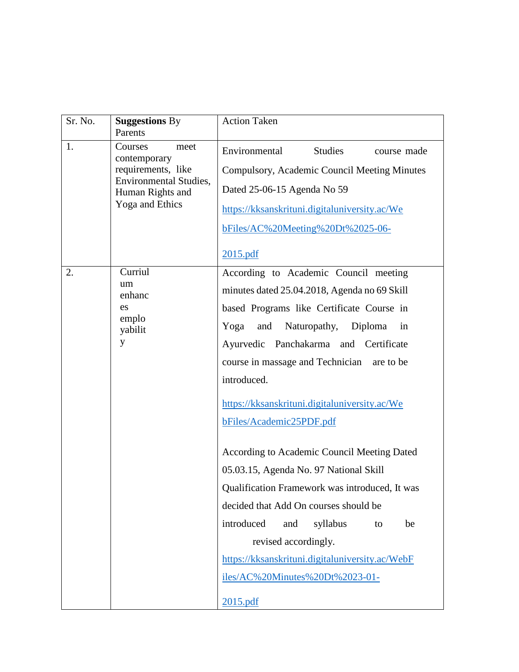| Sr. No. | <b>Suggestions By</b><br>Parents                                                                                              | <b>Action Taken</b>                                                                                                                                                                                                                                                                                                                                                                                                                                                                                                                                                                                                                                                                                                              |
|---------|-------------------------------------------------------------------------------------------------------------------------------|----------------------------------------------------------------------------------------------------------------------------------------------------------------------------------------------------------------------------------------------------------------------------------------------------------------------------------------------------------------------------------------------------------------------------------------------------------------------------------------------------------------------------------------------------------------------------------------------------------------------------------------------------------------------------------------------------------------------------------|
| 1.      | Courses<br>meet<br>contemporary<br>requirements, like<br><b>Environmental Studies,</b><br>Human Rights and<br>Yoga and Ethics | Environmental<br>Studies<br>course made<br>Compulsory, Academic Council Meeting Minutes<br>Dated 25-06-15 Agenda No 59<br>https://kksanskrituni.digitaluniversity.ac/We<br>bFiles/AC%20Meeting%20Dt%2025-06-<br>2015.pdf                                                                                                                                                                                                                                                                                                                                                                                                                                                                                                         |
| 2.      | Curriul<br>um<br>enhanc<br>es<br>emplo<br>yabilit<br>y                                                                        | According to Academic Council meeting<br>minutes dated 25.04.2018, Agenda no 69 Skill<br>based Programs like Certificate Course in<br>Yoga<br>and<br>Naturopathy,<br>Diploma<br>in<br>Ayurvedic Panchakarma and Certificate<br>course in massage and Technician are to be<br>introduced.<br>https://kksanskrituni.digitaluniversity.ac/We<br>bFiles/Academic25PDF.pdf<br>According to Academic Council Meeting Dated<br>05.03.15, Agenda No. 97 National Skill<br>Qualification Framework was introduced, It was<br>decided that Add On courses should be<br>introduced<br>and<br>syllabus<br>be<br>to<br>revised accordingly.<br>https://kksanskrituni.digitaluniversity.ac/WebF<br>iles/AC%20Minutes%20Dt%2023-01-<br>2015.pdf |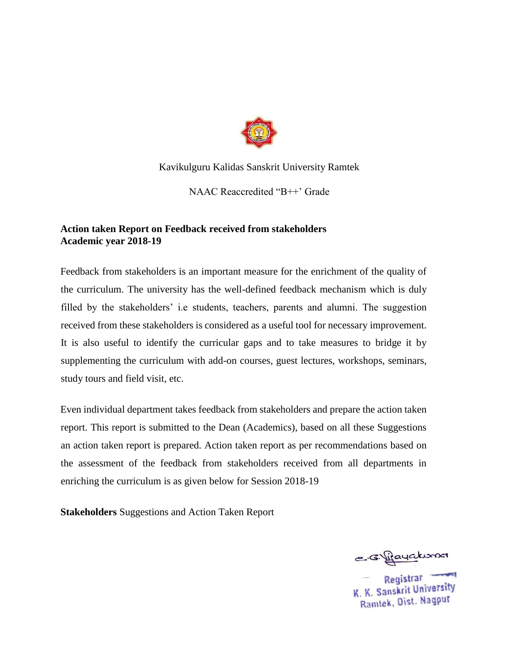

Kavikulguru Kalidas Sanskrit University Ramtek

NAAC Reaccredited "B++' Grade

## **Action taken Report on Feedback received from stakeholders Academic year 2018-19**

Feedback from stakeholders is an important measure for the enrichment of the quality of the curriculum. The university has the well-defined feedback mechanism which is duly filled by the stakeholders' i.e students, teachers, parents and alumni. The suggestion received from these stakeholders is considered as a useful tool for necessary improvement. It is also useful to identify the curricular gaps and to take measures to bridge it by supplementing the curriculum with add-on courses, guest lectures, workshops, seminars, study tours and field visit, etc.

Even individual department takes feedback from stakeholders and prepare the action taken report. This report is submitted to the Dean (Academics), based on all these Suggestions an action taken report is prepared. Action taken report as per recommendations based on the assessment of the feedback from stakeholders received from all departments in enriching the curriculum is as given below for Session 2018-19

**Stakeholders** Suggestions and Action Taken Report

e sujayakuman

Registrar K. K. Sanskrit University Ramtek, Dist. Nagpur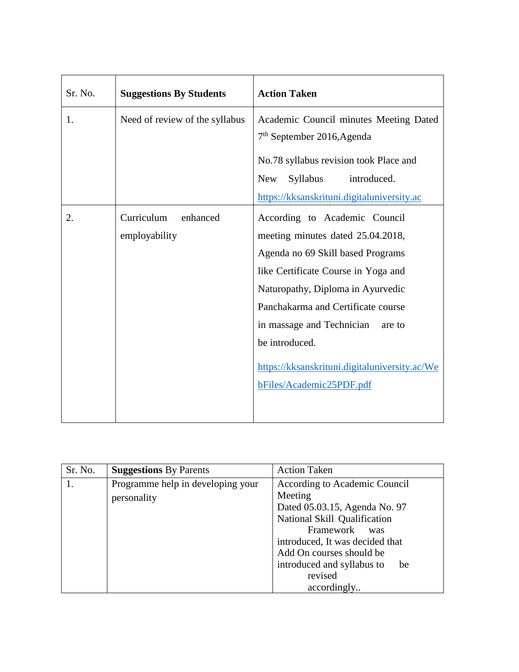| Sr. No. | <b>Suggestions By Students</b>          | <b>Action Taken</b>                                                                                                                                                                                                                                                                                                                                             |
|---------|-----------------------------------------|-----------------------------------------------------------------------------------------------------------------------------------------------------------------------------------------------------------------------------------------------------------------------------------------------------------------------------------------------------------------|
| 1.      | Need of review of the syllabus          | Academic Council minutes Meeting Dated<br>$7th$ September 2016, Agenda<br>No.78 syllabus revision took Place and<br>introduced.<br>Syllabus<br><b>New</b><br>https://kksanskrituni.digitaluniversity.ac                                                                                                                                                         |
| 2.      | Curriculum<br>enhanced<br>employability | According to Academic Council<br>meeting minutes dated 25.04.2018,<br>Agenda no 69 Skill based Programs<br>like Certificate Course in Yoga and<br>Naturopathy, Diploma in Ayurvedic<br>Panchakarma and Certificate course<br>in massage and Technician<br>are to<br>be introduced.<br>https://kksanskrituni.digitaluniversity.ac/We<br>bFiles/Academic25PDF.pdf |

| Sr. No. | <b>Suggestions</b> By Parents     | <b>Action Taken</b>              |
|---------|-----------------------------------|----------------------------------|
|         | Programme help in developing your | According to Academic Council    |
|         | personality                       | Meeting                          |
|         |                                   | Dated 05.03.15, Agenda No. 97    |
|         |                                   | National Skill Qualification     |
|         |                                   | Framework<br>was                 |
|         |                                   | introduced, It was decided that  |
|         |                                   | Add On courses should be         |
|         |                                   | introduced and syllabus to<br>be |
|         |                                   | revised                          |
|         |                                   | accordingly                      |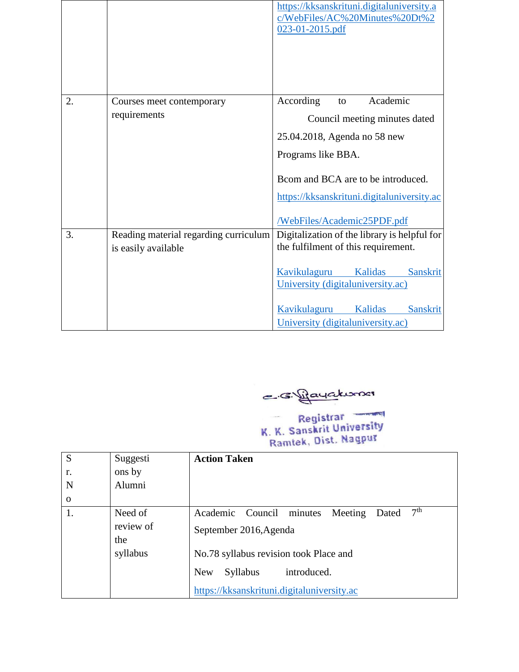|    |                                       | https://kksanskrituni.digitaluniversity.a<br>c/WebFiles/AC%20Minutes%20Dt%2<br>023-01-2015.pdf |
|----|---------------------------------------|------------------------------------------------------------------------------------------------|
| 2. | Courses meet contemporary             | Academic<br>According<br>to                                                                    |
|    | requirements                          | Council meeting minutes dated                                                                  |
|    |                                       | 25.04.2018, Agenda no 58 new                                                                   |
|    |                                       | Programs like BBA.                                                                             |
|    |                                       | Brom and BCA are to be introduced.                                                             |
|    |                                       | https://kksanskrituni.digitaluniversity.ac                                                     |
|    |                                       | /WebFiles/Academic25PDF.pdf                                                                    |
| 3. | Reading material regarding curriculum | Digitalization of the library is helpful for                                                   |
|    | is easily available                   | the fulfilment of this requirement.                                                            |
|    |                                       | Kavikulaguru<br>Kalidas<br><b>Sanskrit</b>                                                     |
|    |                                       | University (digitaluniversity.ac)                                                              |
|    |                                       | Kavikulaguru Kalidas<br><b>Sanskrit</b>                                                        |
|    |                                       | University (digitaluniversity.ac)                                                              |

e sifayakuman

Registrar<br>K. K. Sanskrit University<br>Ramtek, Dist. Nagpur

| S            | Suggesti  | <b>Action Taken</b>                                                |
|--------------|-----------|--------------------------------------------------------------------|
| r.           | ons by    |                                                                    |
| N            | Alumni    |                                                                    |
| $\mathbf{0}$ |           |                                                                    |
| 1.           | Need of   | 7 <sup>th</sup><br>Academic Council<br>minutes<br>Meeting<br>Dated |
|              | review of | September 2016, Agenda                                             |
|              | the       |                                                                    |
|              | syllabus  | No.78 syllabus revision took Place and                             |
|              |           | introduced.<br><b>New</b><br><b>Syllabus</b>                       |
|              |           | https://kksanskrituni.digitaluniversity.ac                         |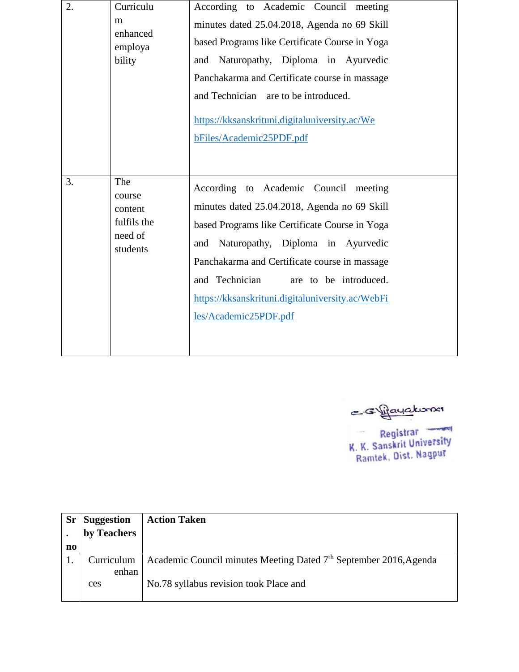| 2. | Curriculu<br>m<br>enhanced<br>employa<br>bility                | According to Academic Council meeting<br>minutes dated 25.04.2018, Agenda no 69 Skill<br>based Programs like Certificate Course in Yoga<br>Naturopathy, Diploma in Ayurvedic<br>and<br>Panchakarma and Certificate course in massage<br>and Technician are to be introduced.<br>https://kksanskrituni.digitaluniversity.ac/We<br>bFiles/Academic25PDF.pdf       |
|----|----------------------------------------------------------------|-----------------------------------------------------------------------------------------------------------------------------------------------------------------------------------------------------------------------------------------------------------------------------------------------------------------------------------------------------------------|
| 3. | The<br>course<br>content<br>fulfils the<br>need of<br>students | According to Academic Council<br>meeting<br>minutes dated 25.04.2018, Agenda no 69 Skill<br>based Programs like Certificate Course in Yoga<br>Naturopathy, Diploma in Ayurvedic<br>and<br>Panchakarma and Certificate course in massage<br>and Technician<br>are to be introduced.<br>https://kksanskrituni.digitaluniversity.ac/WebFi<br>les/Academic25PDF.pdf |

e siljayakuma

Registrar<br>K. K. Sanskrit University<br>Ramtek, Dist. Nagpur

| $S_{r}$ | <b>Suggestion</b> | <b>Action Taken</b>                                                           |
|---------|-------------------|-------------------------------------------------------------------------------|
|         | by Teachers       |                                                                               |
| no      |                   |                                                                               |
|         | Curriculum        | Academic Council minutes Meeting Dated 7 <sup>th</sup> September 2016, Agenda |
|         | enhan             |                                                                               |
|         | ces               | No.78 syllabus revision took Place and                                        |
|         |                   |                                                                               |